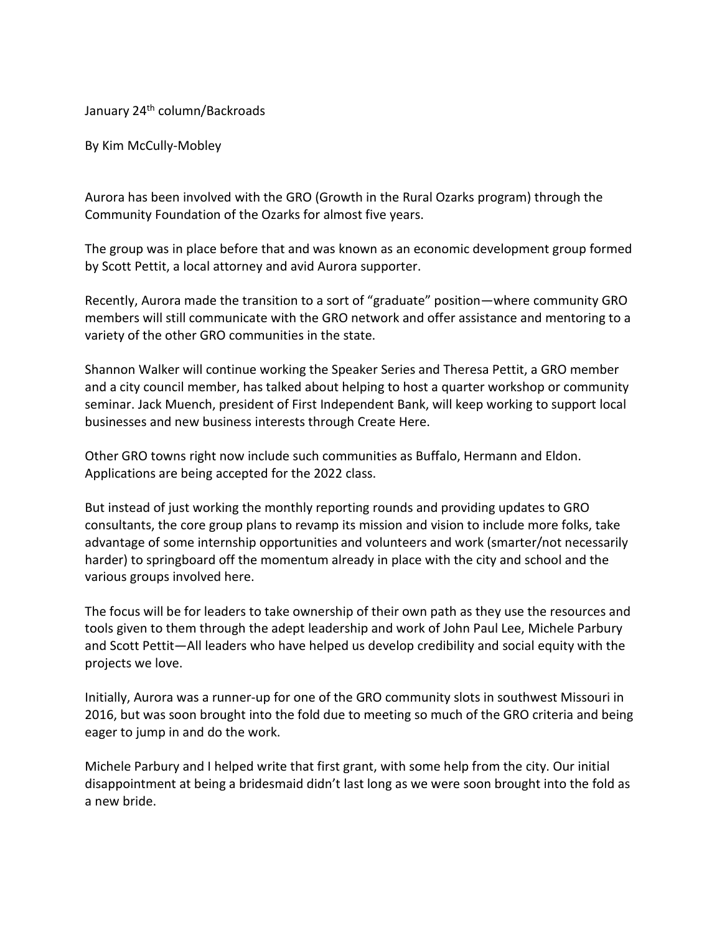January 24<sup>th</sup> column/Backroads

By Kim McCully-Mobley

Aurora has been involved with the GRO (Growth in the Rural Ozarks program) through the Community Foundation of the Ozarks for almost five years.

The group was in place before that and was known as an economic development group formed by Scott Pettit, a local attorney and avid Aurora supporter.

Recently, Aurora made the transition to a sort of "graduate" position—where community GRO members will still communicate with the GRO network and offer assistance and mentoring to a variety of the other GRO communities in the state.

Shannon Walker will continue working the Speaker Series and Theresa Pettit, a GRO member and a city council member, has talked about helping to host a quarter workshop or community seminar. Jack Muench, president of First Independent Bank, will keep working to support local businesses and new business interests through Create Here.

Other GRO towns right now include such communities as Buffalo, Hermann and Eldon. Applications are being accepted for the 2022 class.

But instead of just working the monthly reporting rounds and providing updates to GRO consultants, the core group plans to revamp its mission and vision to include more folks, take advantage of some internship opportunities and volunteers and work (smarter/not necessarily harder) to springboard off the momentum already in place with the city and school and the various groups involved here.

The focus will be for leaders to take ownership of their own path as they use the resources and tools given to them through the adept leadership and work of John Paul Lee, Michele Parbury and Scott Pettit—All leaders who have helped us develop credibility and social equity with the projects we love.

Initially, Aurora was a runner-up for one of the GRO community slots in southwest Missouri in 2016, but was soon brought into the fold due to meeting so much of the GRO criteria and being eager to jump in and do the work.

Michele Parbury and I helped write that first grant, with some help from the city. Our initial disappointment at being a bridesmaid didn't last long as we were soon brought into the fold as a new bride.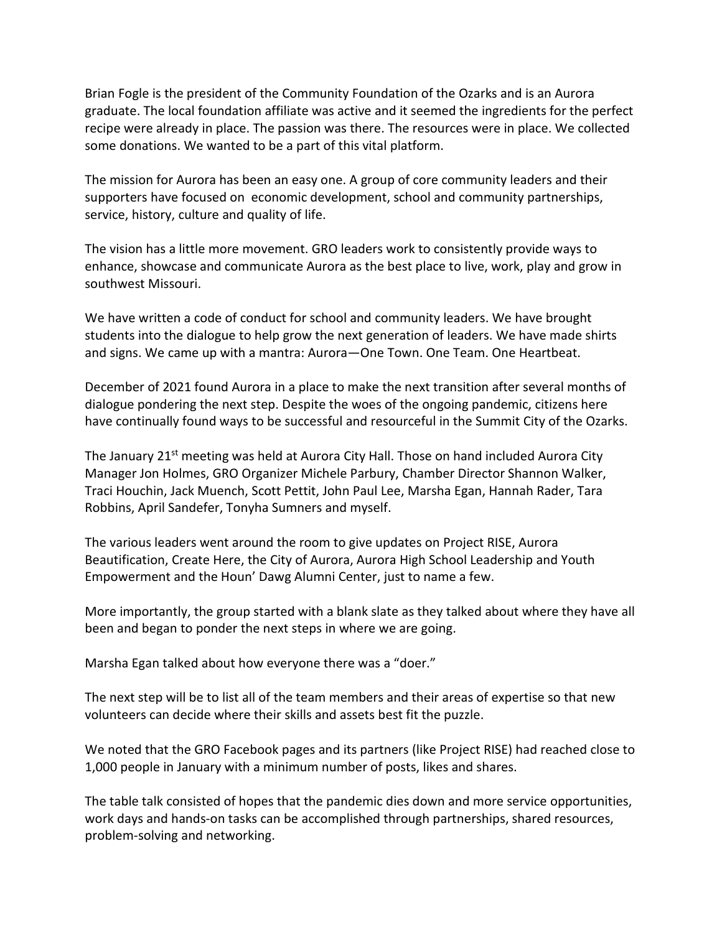Brian Fogle is the president of the Community Foundation of the Ozarks and is an Aurora graduate. The local foundation affiliate was active and it seemed the ingredients for the perfect recipe were already in place. The passion was there. The resources were in place. We collected some donations. We wanted to be a part of this vital platform.

The mission for Aurora has been an easy one. A group of core community leaders and their supporters have focused on economic development, school and community partnerships, service, history, culture and quality of life.

The vision has a little more movement. GRO leaders work to consistently provide ways to enhance, showcase and communicate Aurora as the best place to live, work, play and grow in southwest Missouri.

We have written a code of conduct for school and community leaders. We have brought students into the dialogue to help grow the next generation of leaders. We have made shirts and signs. We came up with a mantra: Aurora—One Town. One Team. One Heartbeat.

December of 2021 found Aurora in a place to make the next transition after several months of dialogue pondering the next step. Despite the woes of the ongoing pandemic, citizens here have continually found ways to be successful and resourceful in the Summit City of the Ozarks.

The January 21<sup>st</sup> meeting was held at Aurora City Hall. Those on hand included Aurora City Manager Jon Holmes, GRO Organizer Michele Parbury, Chamber Director Shannon Walker, Traci Houchin, Jack Muench, Scott Pettit, John Paul Lee, Marsha Egan, Hannah Rader, Tara Robbins, April Sandefer, Tonyha Sumners and myself.

The various leaders went around the room to give updates on Project RISE, Aurora Beautification, Create Here, the City of Aurora, Aurora High School Leadership and Youth Empowerment and the Houn' Dawg Alumni Center, just to name a few.

More importantly, the group started with a blank slate as they talked about where they have all been and began to ponder the next steps in where we are going.

Marsha Egan talked about how everyone there was a "doer."

The next step will be to list all of the team members and their areas of expertise so that new volunteers can decide where their skills and assets best fit the puzzle.

We noted that the GRO Facebook pages and its partners (like Project RISE) had reached close to 1,000 people in January with a minimum number of posts, likes and shares.

The table talk consisted of hopes that the pandemic dies down and more service opportunities, work days and hands-on tasks can be accomplished through partnerships, shared resources, problem-solving and networking.